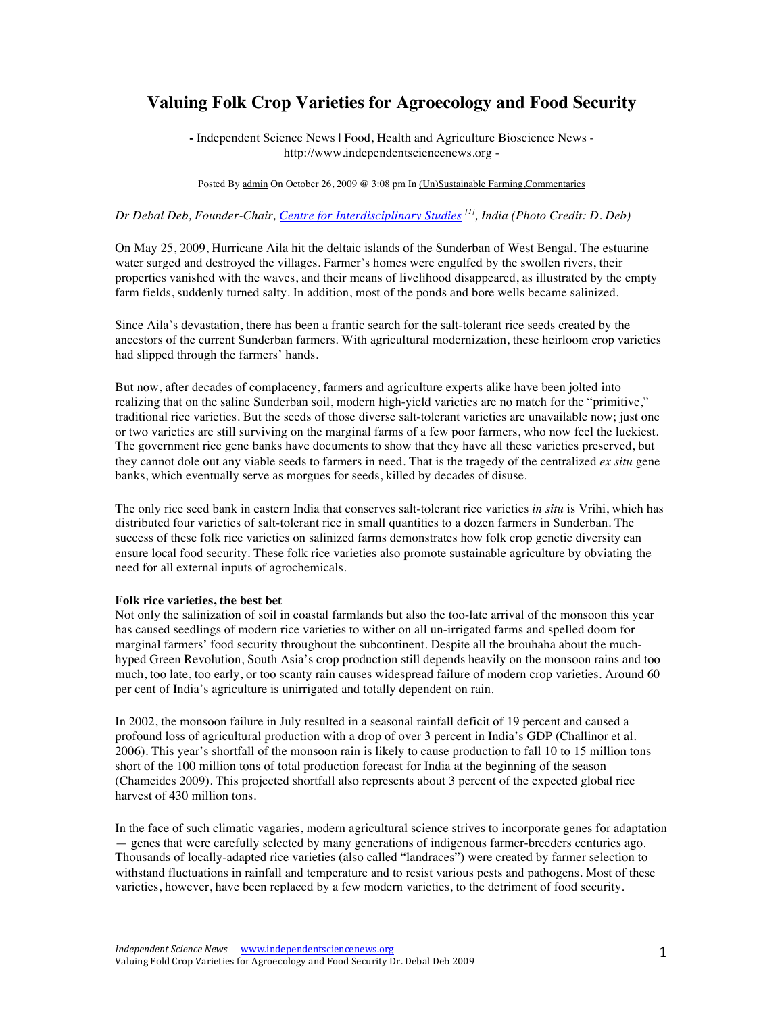# **Valuing Folk Crop Varieties for Agroecology and Food Security**

**-** Independent Science News | Food, Health and Agriculture Bioscience News http://www.independentsciencenews.org -

Posted By admin On October 26, 2009 @ 3:08 pm In (Un)Sustainable Farming,Commentaries

# *Dr Debal Deb, Founder-Chair, Centre for Interdisciplinary Studies [1], India (Photo Credit: D. Deb)*

On May 25, 2009, Hurricane Aila hit the deltaic islands of the Sunderban of West Bengal. The estuarine water surged and destroyed the villages. Farmer's homes were engulfed by the swollen rivers, their properties vanished with the waves, and their means of livelihood disappeared, as illustrated by the empty farm fields, suddenly turned salty. In addition, most of the ponds and bore wells became salinized.

Since Aila's devastation, there has been a frantic search for the salt-tolerant rice seeds created by the ancestors of the current Sunderban farmers. With agricultural modernization, these heirloom crop varieties had slipped through the farmers' hands.

But now, after decades of complacency, farmers and agriculture experts alike have been jolted into realizing that on the saline Sunderban soil, modern high-yield varieties are no match for the "primitive," traditional rice varieties. But the seeds of those diverse salt-tolerant varieties are unavailable now; just one or two varieties are still surviving on the marginal farms of a few poor farmers, who now feel the luckiest. The government rice gene banks have documents to show that they have all these varieties preserved, but they cannot dole out any viable seeds to farmers in need. That is the tragedy of the centralized *ex situ* gene banks, which eventually serve as morgues for seeds, killed by decades of disuse.

The only rice seed bank in eastern India that conserves salt-tolerant rice varieties *in situ* is Vrihi, which has distributed four varieties of salt-tolerant rice in small quantities to a dozen farmers in Sunderban. The success of these folk rice varieties on salinized farms demonstrates how folk crop genetic diversity can ensure local food security. These folk rice varieties also promote sustainable agriculture by obviating the need for all external inputs of agrochemicals.

#### **Folk rice varieties, the best bet**

Not only the salinization of soil in coastal farmlands but also the too-late arrival of the monsoon this year has caused seedlings of modern rice varieties to wither on all un-irrigated farms and spelled doom for marginal farmers' food security throughout the subcontinent. Despite all the brouhaha about the muchhyped Green Revolution, South Asia's crop production still depends heavily on the monsoon rains and too much, too late, too early, or too scanty rain causes widespread failure of modern crop varieties. Around 60 per cent of India's agriculture is unirrigated and totally dependent on rain.

In 2002, the monsoon failure in July resulted in a seasonal rainfall deficit of 19 percent and caused a profound loss of agricultural production with a drop of over 3 percent in India's GDP (Challinor et al. 2006). This year's shortfall of the monsoon rain is likely to cause production to fall 10 to 15 million tons short of the 100 million tons of total production forecast for India at the beginning of the season (Chameides 2009). This projected shortfall also represents about 3 percent of the expected global rice harvest of 430 million tons.

In the face of such climatic vagaries, modern agricultural science strives to incorporate genes for adaptation — genes that were carefully selected by many generations of indigenous farmer-breeders centuries ago. Thousands of locally-adapted rice varieties (also called "landraces") were created by farmer selection to withstand fluctuations in rainfall and temperature and to resist various pests and pathogens. Most of these varieties, however, have been replaced by a few modern varieties, to the detriment of food security.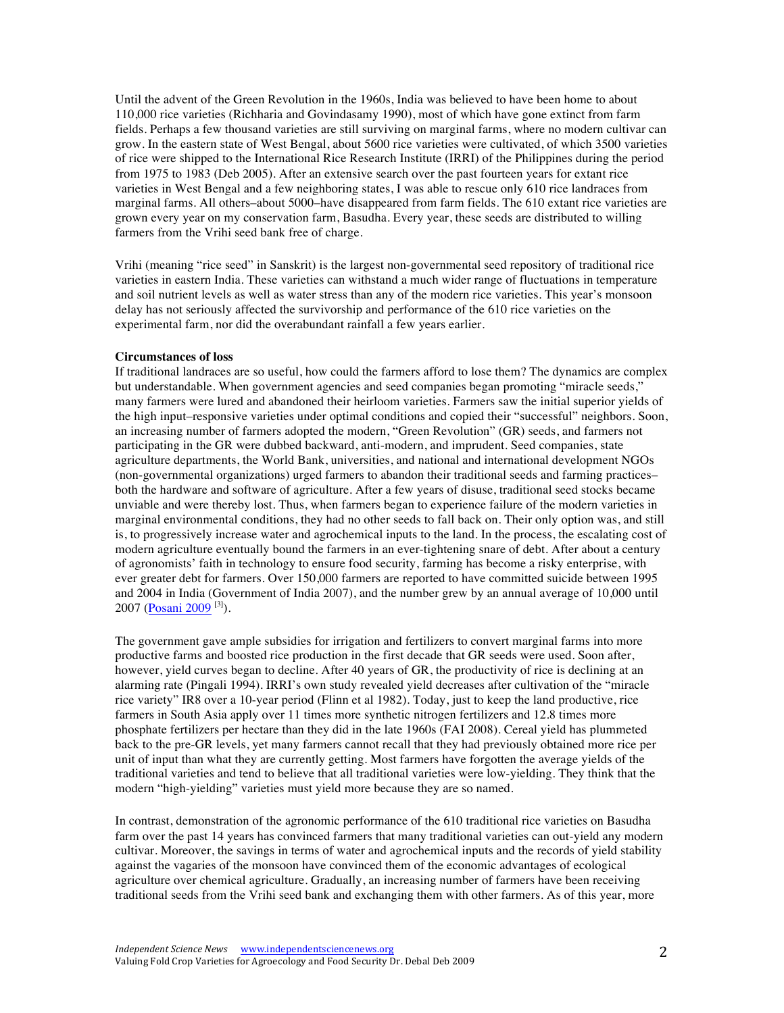Until the advent of the Green Revolution in the 1960s, India was believed to have been home to about 110,000 rice varieties (Richharia and Govindasamy 1990), most of which have gone extinct from farm fields. Perhaps a few thousand varieties are still surviving on marginal farms, where no modern cultivar can grow. In the eastern state of West Bengal, about 5600 rice varieties were cultivated, of which 3500 varieties of rice were shipped to the International Rice Research Institute (IRRI) of the Philippines during the period from 1975 to 1983 (Deb 2005). After an extensive search over the past fourteen years for extant rice varieties in West Bengal and a few neighboring states, I was able to rescue only 610 rice landraces from marginal farms. All others–about 5000–have disappeared from farm fields. The 610 extant rice varieties are grown every year on my conservation farm, Basudha. Every year, these seeds are distributed to willing farmers from the Vrihi seed bank free of charge.

Vrihi (meaning "rice seed" in Sanskrit) is the largest non-governmental seed repository of traditional rice varieties in eastern India. These varieties can withstand a much wider range of fluctuations in temperature and soil nutrient levels as well as water stress than any of the modern rice varieties. This year's monsoon delay has not seriously affected the survivorship and performance of the 610 rice varieties on the experimental farm, nor did the overabundant rainfall a few years earlier.

### **Circumstances of loss**

If traditional landraces are so useful, how could the farmers afford to lose them? The dynamics are complex but understandable. When government agencies and seed companies began promoting "miracle seeds," many farmers were lured and abandoned their heirloom varieties. Farmers saw the initial superior yields of the high input–responsive varieties under optimal conditions and copied their "successful" neighbors. Soon, an increasing number of farmers adopted the modern, "Green Revolution" (GR) seeds, and farmers not participating in the GR were dubbed backward, anti-modern, and imprudent. Seed companies, state agriculture departments, the World Bank, universities, and national and international development NGOs (non-governmental organizations) urged farmers to abandon their traditional seeds and farming practices– both the hardware and software of agriculture. After a few years of disuse, traditional seed stocks became unviable and were thereby lost. Thus, when farmers began to experience failure of the modern varieties in marginal environmental conditions, they had no other seeds to fall back on. Their only option was, and still is, to progressively increase water and agrochemical inputs to the land. In the process, the escalating cost of modern agriculture eventually bound the farmers in an ever-tightening snare of debt. After about a century of agronomists' faith in technology to ensure food security, farming has become a risky enterprise, with ever greater debt for farmers. Over 150,000 farmers are reported to have committed suicide between 1995 and 2004 in India (Government of India 2007), and the number grew by an annual average of 10,000 until 2007 (Posani 2009<sup>[3]</sup>).

The government gave ample subsidies for irrigation and fertilizers to convert marginal farms into more productive farms and boosted rice production in the first decade that GR seeds were used. Soon after, however, yield curves began to decline. After 40 years of GR, the productivity of rice is declining at an alarming rate (Pingali 1994). IRRI's own study revealed yield decreases after cultivation of the "miracle rice variety" IR8 over a 10-year period (Flinn et al 1982). Today, just to keep the land productive, rice farmers in South Asia apply over 11 times more synthetic nitrogen fertilizers and 12.8 times more phosphate fertilizers per hectare than they did in the late 1960s (FAI 2008). Cereal yield has plummeted back to the pre-GR levels, yet many farmers cannot recall that they had previously obtained more rice per unit of input than what they are currently getting. Most farmers have forgotten the average yields of the traditional varieties and tend to believe that all traditional varieties were low-yielding. They think that the modern "high-yielding" varieties must yield more because they are so named.

In contrast, demonstration of the agronomic performance of the 610 traditional rice varieties on Basudha farm over the past 14 years has convinced farmers that many traditional varieties can out-yield any modern cultivar. Moreover, the savings in terms of water and agrochemical inputs and the records of yield stability against the vagaries of the monsoon have convinced them of the economic advantages of ecological agriculture over chemical agriculture. Gradually, an increasing number of farmers have been receiving traditional seeds from the Vrihi seed bank and exchanging them with other farmers. As of this year, more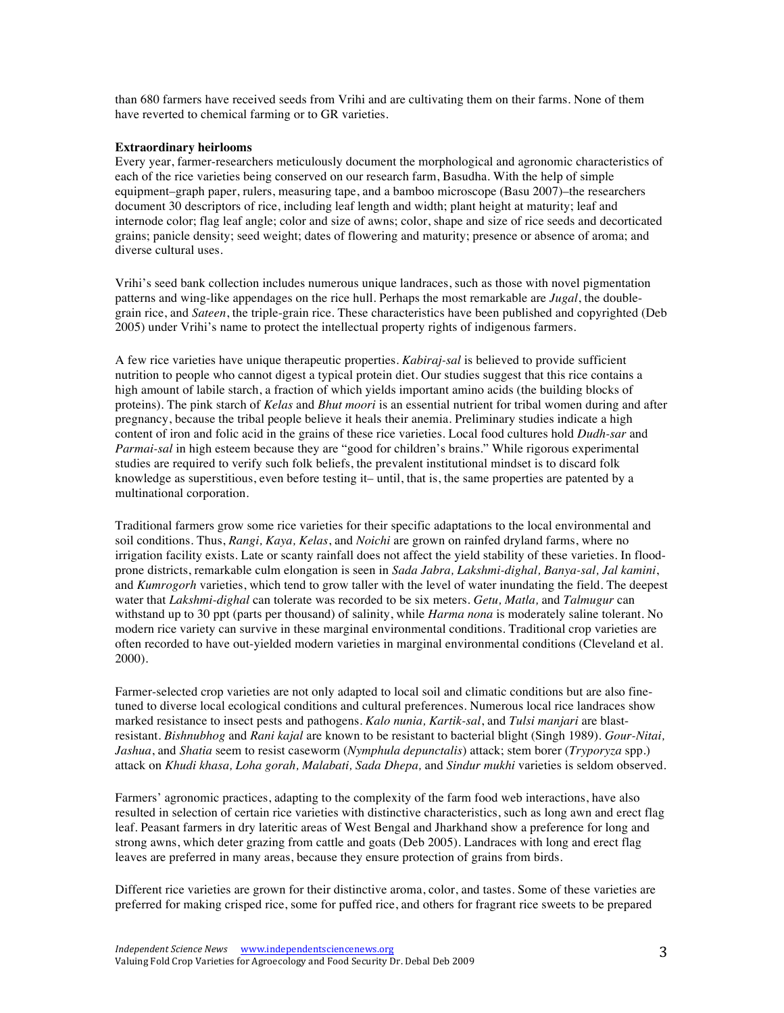than 680 farmers have received seeds from Vrihi and are cultivating them on their farms. None of them have reverted to chemical farming or to GR varieties.

# **Extraordinary heirlooms**

Every year, farmer-researchers meticulously document the morphological and agronomic characteristics of each of the rice varieties being conserved on our research farm, Basudha. With the help of simple equipment–graph paper, rulers, measuring tape, and a bamboo microscope (Basu 2007)–the researchers document 30 descriptors of rice, including leaf length and width; plant height at maturity; leaf and internode color; flag leaf angle; color and size of awns; color, shape and size of rice seeds and decorticated grains; panicle density; seed weight; dates of flowering and maturity; presence or absence of aroma; and diverse cultural uses.

Vrihi's seed bank collection includes numerous unique landraces, such as those with novel pigmentation patterns and wing-like appendages on the rice hull. Perhaps the most remarkable are *Jugal*, the doublegrain rice, and *Sateen*, the triple-grain rice. These characteristics have been published and copyrighted (Deb 2005) under Vrihi's name to protect the intellectual property rights of indigenous farmers.

A few rice varieties have unique therapeutic properties. *Kabiraj-sal* is believed to provide sufficient nutrition to people who cannot digest a typical protein diet. Our studies suggest that this rice contains a high amount of labile starch, a fraction of which yields important amino acids (the building blocks of proteins). The pink starch of *Kelas* and *Bhut moori* is an essential nutrient for tribal women during and after pregnancy, because the tribal people believe it heals their anemia. Preliminary studies indicate a high content of iron and folic acid in the grains of these rice varieties. Local food cultures hold *Dudh-sar* and *Parmai-sal* in high esteem because they are "good for children's brains." While rigorous experimental studies are required to verify such folk beliefs, the prevalent institutional mindset is to discard folk knowledge as superstitious, even before testing it– until, that is, the same properties are patented by a multinational corporation.

Traditional farmers grow some rice varieties for their specific adaptations to the local environmental and soil conditions. Thus, *Rangi, Kaya, Kelas*, and *Noichi* are grown on rainfed dryland farms, where no irrigation facility exists. Late or scanty rainfall does not affect the yield stability of these varieties. In floodprone districts, remarkable culm elongation is seen in *Sada Jabra, Lakshmi-dighal, Banya-sal, Jal kamini*, and *Kumrogorh* varieties, which tend to grow taller with the level of water inundating the field. The deepest water that *Lakshmi-dighal* can tolerate was recorded to be six meters. *Getu, Matla,* and *Talmugur* can withstand up to 30 ppt (parts per thousand) of salinity, while *Harma nona* is moderately saline tolerant. No modern rice variety can survive in these marginal environmental conditions. Traditional crop varieties are often recorded to have out-yielded modern varieties in marginal environmental conditions (Cleveland et al. 2000).

Farmer-selected crop varieties are not only adapted to local soil and climatic conditions but are also finetuned to diverse local ecological conditions and cultural preferences. Numerous local rice landraces show marked resistance to insect pests and pathogens. *Kalo nunia, Kartik-sal*, and *Tulsi manjari* are blastresistant. *Bishnubhog* and *Rani kajal* are known to be resistant to bacterial blight (Singh 1989). *Gour-Nitai, Jashua*, and *Shatia* seem to resist caseworm (*Nymphula depunctalis*) attack; stem borer (*Tryporyza* spp.) attack on *Khudi khasa, Loha gorah, Malabati, Sada Dhepa,* and *Sindur mukhi* varieties is seldom observed.

Farmers' agronomic practices, adapting to the complexity of the farm food web interactions, have also resulted in selection of certain rice varieties with distinctive characteristics, such as long awn and erect flag leaf. Peasant farmers in dry lateritic areas of West Bengal and Jharkhand show a preference for long and strong awns, which deter grazing from cattle and goats (Deb 2005). Landraces with long and erect flag leaves are preferred in many areas, because they ensure protection of grains from birds.

Different rice varieties are grown for their distinctive aroma, color, and tastes. Some of these varieties are preferred for making crisped rice, some for puffed rice, and others for fragrant rice sweets to be prepared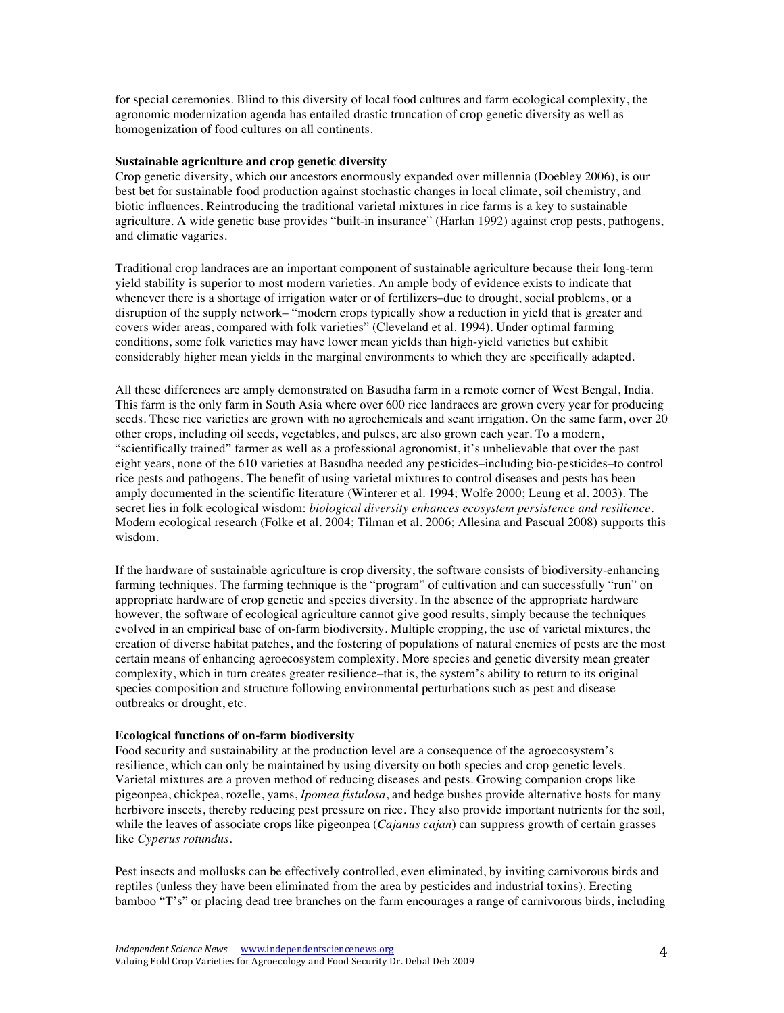for special ceremonies. Blind to this diversity of local food cultures and farm ecological complexity, the agronomic modernization agenda has entailed drastic truncation of crop genetic diversity as well as homogenization of food cultures on all continents.

### **Sustainable agriculture and crop genetic diversity**

Crop genetic diversity, which our ancestors enormously expanded over millennia (Doebley 2006), is our best bet for sustainable food production against stochastic changes in local climate, soil chemistry, and biotic influences. Reintroducing the traditional varietal mixtures in rice farms is a key to sustainable agriculture. A wide genetic base provides "built-in insurance" (Harlan 1992) against crop pests, pathogens, and climatic vagaries.

Traditional crop landraces are an important component of sustainable agriculture because their long-term yield stability is superior to most modern varieties. An ample body of evidence exists to indicate that whenever there is a shortage of irrigation water or of fertilizers–due to drought, social problems, or a disruption of the supply network– "modern crops typically show a reduction in yield that is greater and covers wider areas, compared with folk varieties" (Cleveland et al. 1994). Under optimal farming conditions, some folk varieties may have lower mean yields than high-yield varieties but exhibit considerably higher mean yields in the marginal environments to which they are specifically adapted.

All these differences are amply demonstrated on Basudha farm in a remote corner of West Bengal, India. This farm is the only farm in South Asia where over 600 rice landraces are grown every year for producing seeds. These rice varieties are grown with no agrochemicals and scant irrigation. On the same farm, over 20 other crops, including oil seeds, vegetables, and pulses, are also grown each year. To a modern, "scientifically trained" farmer as well as a professional agronomist, it's unbelievable that over the past eight years, none of the 610 varieties at Basudha needed any pesticides–including bio-pesticides–to control rice pests and pathogens. The benefit of using varietal mixtures to control diseases and pests has been amply documented in the scientific literature (Winterer et al. 1994; Wolfe 2000; Leung et al. 2003). The secret lies in folk ecological wisdom: *biological diversity enhances ecosystem persistence and resilience*. Modern ecological research (Folke et al. 2004; Tilman et al. 2006; Allesina and Pascual 2008) supports this wisdom.

If the hardware of sustainable agriculture is crop diversity, the software consists of biodiversity-enhancing farming techniques. The farming technique is the "program" of cultivation and can successfully "run" on appropriate hardware of crop genetic and species diversity. In the absence of the appropriate hardware however, the software of ecological agriculture cannot give good results, simply because the techniques evolved in an empirical base of on-farm biodiversity. Multiple cropping, the use of varietal mixtures, the creation of diverse habitat patches, and the fostering of populations of natural enemies of pests are the most certain means of enhancing agroecosystem complexity. More species and genetic diversity mean greater complexity, which in turn creates greater resilience–that is, the system's ability to return to its original species composition and structure following environmental perturbations such as pest and disease outbreaks or drought, etc.

# **Ecological functions of on-farm biodiversity**

Food security and sustainability at the production level are a consequence of the agroecosystem's resilience, which can only be maintained by using diversity on both species and crop genetic levels. Varietal mixtures are a proven method of reducing diseases and pests. Growing companion crops like pigeonpea, chickpea, rozelle, yams, *Ipomea fistulosa*, and hedge bushes provide alternative hosts for many herbivore insects, thereby reducing pest pressure on rice. They also provide important nutrients for the soil, while the leaves of associate crops like pigeonpea (*Cajanus cajan*) can suppress growth of certain grasses like *Cyperus rotundus*.

Pest insects and mollusks can be effectively controlled, even eliminated, by inviting carnivorous birds and reptiles (unless they have been eliminated from the area by pesticides and industrial toxins). Erecting bamboo "T's" or placing dead tree branches on the farm encourages a range of carnivorous birds, including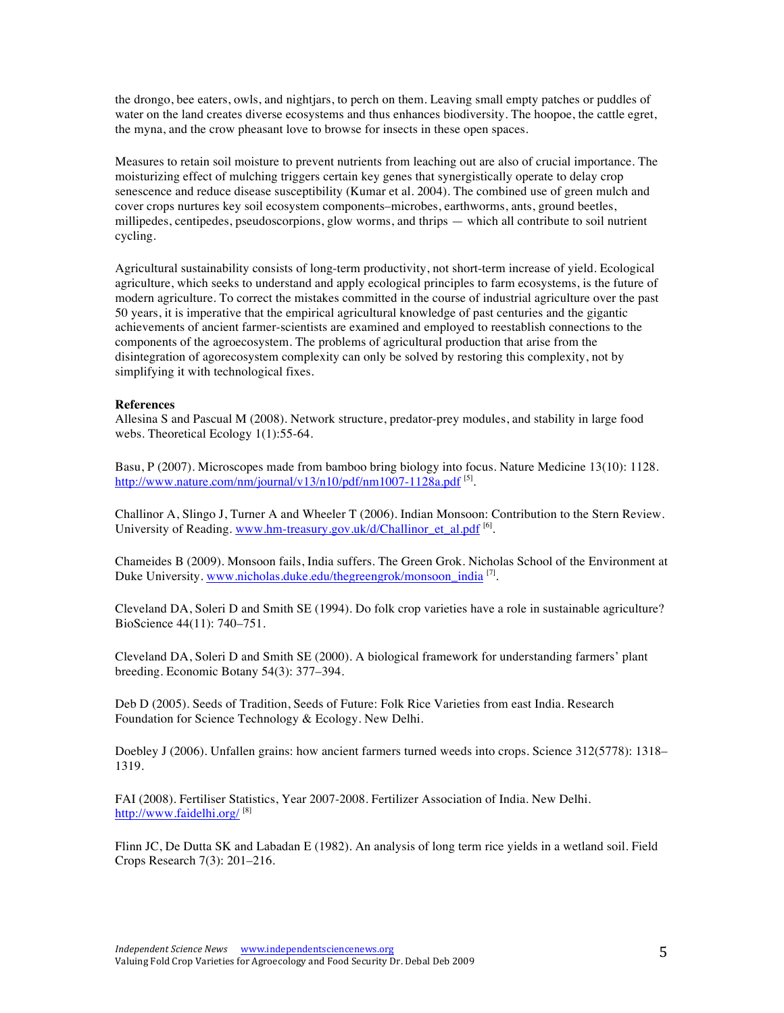the drongo, bee eaters, owls, and nightjars, to perch on them. Leaving small empty patches or puddles of water on the land creates diverse ecosystems and thus enhances biodiversity. The hoopoe, the cattle egret, the myna, and the crow pheasant love to browse for insects in these open spaces.

Measures to retain soil moisture to prevent nutrients from leaching out are also of crucial importance. The moisturizing effect of mulching triggers certain key genes that synergistically operate to delay crop senescence and reduce disease susceptibility (Kumar et al. 2004). The combined use of green mulch and cover crops nurtures key soil ecosystem components–microbes, earthworms, ants, ground beetles, millipedes, centipedes, pseudoscorpions, glow worms, and thrips — which all contribute to soil nutrient cycling.

Agricultural sustainability consists of long-term productivity, not short-term increase of yield. Ecological agriculture, which seeks to understand and apply ecological principles to farm ecosystems, is the future of modern agriculture. To correct the mistakes committed in the course of industrial agriculture over the past 50 years, it is imperative that the empirical agricultural knowledge of past centuries and the gigantic achievements of ancient farmer-scientists are examined and employed to reestablish connections to the components of the agroecosystem. The problems of agricultural production that arise from the disintegration of agorecosystem complexity can only be solved by restoring this complexity, not by simplifying it with technological fixes.

### **References**

Allesina S and Pascual M (2008). Network structure, predator-prey modules, and stability in large food webs. Theoretical Ecology 1(1):55-64.

Basu, P (2007). Microscopes made from bamboo bring biology into focus. Nature Medicine 13(10): 1128. http://www.nature.com/nm/journal/v13/n10/pdf/nm1007-1128a.pdf [5].

Challinor A, Slingo J, Turner A and Wheeler T (2006). Indian Monsoon: Contribution to the Stern Review. University of Reading. www.hm-treasury.gov.uk/d/Challinor\_et\_al.pdf [6].

Chameides B (2009). Monsoon fails, India suffers. The Green Grok. Nicholas School of the Environment at Duke University. www.nicholas.duke.edu/thegreengrok/monsoon\_india [7].

Cleveland DA, Soleri D and Smith SE (1994). Do folk crop varieties have a role in sustainable agriculture? BioScience 44(11): 740–751.

Cleveland DA, Soleri D and Smith SE (2000). A biological framework for understanding farmers' plant breeding. Economic Botany 54(3): 377–394.

Deb D (2005). Seeds of Tradition, Seeds of Future: Folk Rice Varieties from east India. Research Foundation for Science Technology & Ecology. New Delhi.

Doebley J (2006). Unfallen grains: how ancient farmers turned weeds into crops. Science 312(5778): 1318– 1319.

FAI (2008). Fertiliser Statistics, Year 2007-2008. Fertilizer Association of India. New Delhi. http://www.faidelhi.org/ [8]

Flinn JC, De Dutta SK and Labadan E (1982). An analysis of long term rice yields in a wetland soil. Field Crops Research 7(3): 201–216.